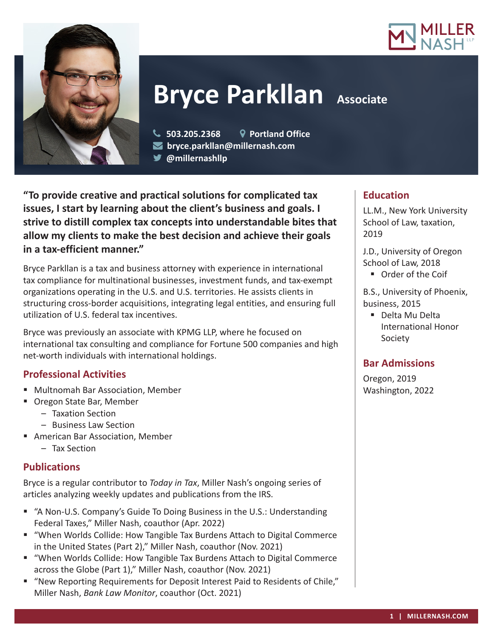



# **Bryce Parkllan** Associate

- **503.205.2368 Portland Office**
- **bryce.parkllan@millernash.com** 
	- **@millernashllp**

**"To provide creative and practical solutions for complicated tax issues, I start by learning about the client's business and goals. I strive to distill complex tax concepts into understandable bites that allow my clients to make the best decision and achieve their goals in a tax-efficient manner."**

Bryce Parkllan is a tax and business attorney with experience in international tax compliance for multinational businesses, investment funds, and tax-exempt organizations operating in the U.S. and U.S. territories. He assists clients in structuring cross-border acquisitions, integrating legal entities, and ensuring full utilization of U.S. federal tax incentives.

Bryce was previously an associate with KPMG LLP, where he focused on international tax consulting and compliance for Fortune 500 companies and high net-worth individuals with international holdings.

## **Professional Activities**

- Multnomah Bar Association, Member
- Oregon State Bar, Member
	- Taxation Section
	- Business Law Section
- American Bar Association, Member
	- Tax Section

## **Publications**

Bryce is a regular contributor to *Today in Tax*, Miller Nash's ongoing series of articles analyzing weekly updates and publications from the IRS.

- "A Non-U.S. Company's Guide To Doing Business in the U.S.: Understanding Federal Taxes," Miller Nash, coauthor (Apr. 2022)
- "When Worlds Collide: How Tangible Tax Burdens Attach to Digital Commerce in the United States (Part 2)," Miller Nash, coauthor (Nov. 2021)
- "When Worlds Collide: How Tangible Tax Burdens Attach to Digital Commerce across the Globe (Part 1)," Miller Nash, coauthor (Nov. 2021)
- "New Reporting Requirements for Deposit Interest Paid to Residents of Chile," Miller Nash, *Bank Law Monitor*, coauthor (Oct. 2021)

## **Education**

LL.M., New York University School of Law, taxation, 2019

J.D., University of Oregon School of Law, 2018

■ Order of the Coif

B.S., University of Phoenix, business, 2015

■ Delta Mu Delta International Honor Society

## **Bar Admissions**

Oregon, 2019 Washington, 2022